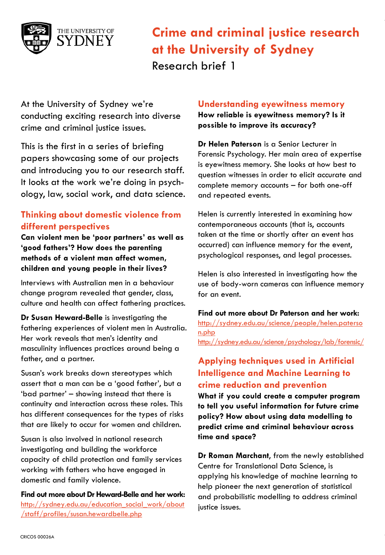

At the University of Sydney we're conducting exciting research into diverse crime and criminal justice issues.

This is the first in a series of briefing papers showcasing some of our projects and introducing you to our research staff. It looks at the work we're doing in psychology, law, social work, and data science.

## **Thinking about domestic violence from different perspectives**

**Can violent men be 'poor partners' as well as 'good fathers'? How does the parenting methods of a violent man affect women, children and young people in their lives?**

Interviews with Australian men in a behaviour change program revealed that gender, class, culture and health can affect fathering practices.

**Dr Susan Heward-Belle** is investigating the fathering experiences of violent men in Australia. Her work reveals that men's identity and masculinity influences practices around being a father, and a partner.

Susan's work breaks down stereotypes which assert that a man can be a 'good father', but a 'bad partner' – showing instead that there is continuity and interaction across these roles. This has different consequences for the types of risks that are likely to occur for women and children.

Susan is also involved in national research investigating and building the workforce capacity of child protection and family services working with fathers who have engaged in domestic and family violence.

**Find out more about Dr Heward-Belle and her work:** [http://sydney.edu.au/education\\_social\\_work/about](http://sydney.edu.au/education_social_work/about/staff/profiles/susan.hewardbelle.php) [/staff/profiles/susan.hewardbelle.php](http://sydney.edu.au/education_social_work/about/staff/profiles/susan.hewardbelle.php)

### **Understanding eyewitness memory**

**How reliable is eyewitness memory? Is it possible to improve its accuracy?**

**Dr Helen Paterson** is a Senior Lecturer in Forensic Psychology. Her main area of expertise is eyewitness memory. She looks at how best to question witnesses in order to elicit accurate and complete memory accounts – for both one-off and repeated events.

Helen is currently interested in examining how contemporaneous accounts (that is, accounts taken at the time or shortly after an event has occurred) can influence memory for the event, psychological responses, and legal processes.

Helen is also interested in investigating how the use of body-worn cameras can influence memory for an event.

**Find out more about Dr Paterson and her work:** [http://sydney.edu.au/science/people/helen.paterso](http://sydney.edu.au/science/people/helen.paterson.php) [n.php](http://sydney.edu.au/science/people/helen.paterson.php) <http://sydney.edu.au/science/psychology/lab/forensic/>

# **Applying techniques used in Artificial Intelligence and Machine Learning to crime reduction and prevention**

**What if you could create a computer program to tell you useful information for future crime policy? How about using data modelling to predict crime and criminal behaviour across time and space?**

**Dr Roman Marchant**, from the newly established Centre for Translational Data Science, is applying his knowledge of machine learning to help pioneer the next generation of statistical and probabilistic modelling to address criminal justice issues.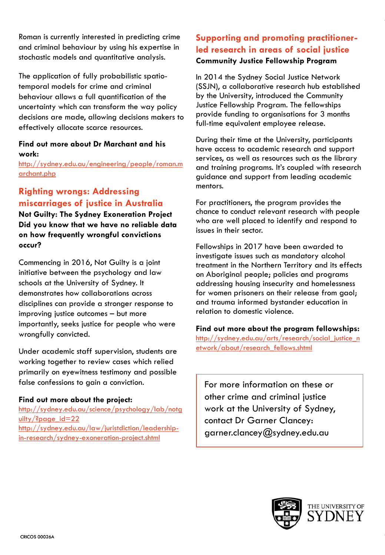Roman is currently interested in predicting crime and criminal behaviour by using his expertise in stochastic models and quantitative analysis.

The application of fully probabilistic spatiotemporal models for crime and criminal behaviour allows a full quantification of the uncertainty which can transform the way policy decisions are made, allowing decisions makers to effectively allocate scarce resources.

### **Find out more about Dr Marchant and his work:**

[http://sydney.edu.au/engineering/people/roman.m](http://sydney.edu.au/engineering/people/roman.marchant.php) [archant.php](http://sydney.edu.au/engineering/people/roman.marchant.php)

# **Righting wrongs: Addressing miscarriages of justice in Australia**

**Not Guilty: The Sydney Exoneration Project Did you know that we have no reliable data on how frequently wrongful convictions occur?**

Commencing in 2016, Not Guilty is a joint initiative between the psychology and law schools at the University of Sydney. It demonstrates how collaborations across disciplines can provide a stronger response to improving justice outcomes – but more importantly, seeks justice for people who were wrongfully convicted.

Under academic staff supervision, students are working together to review cases which relied primarily on eyewitness testimony and possible false confessions to gain a conviction.

### **Find out more about the project:**

[http://sydney.edu.au/science/psychology/lab/notg](http://sydney.edu.au/science/psychology/lab/notguilty/?page_id=22) [uilty/?page\\_id=22](http://sydney.edu.au/science/psychology/lab/notguilty/?page_id=22) [http://sydney.edu.au/law/juristdiction/leadership](http://sydney.edu.au/law/juristdiction/leadership-in-research/sydney-exoneration-project.shtml)[in-research/sydney-exoneration-project.shtml](http://sydney.edu.au/law/juristdiction/leadership-in-research/sydney-exoneration-project.shtml)

## **Supporting and promoting practitionerled research in areas of social justice Community Justice Fellowship Program**

In 2014 the Sydney Social Justice Network (SSJN), a collaborative research hub established by the University, introduced the Community Justice Fellowship Program. The fellowships provide funding to organisations for 3 months full-time equivalent employee release.

During their time at the University, participants have access to academic research and support services, as well as resources such as the library and training programs. It's coupled with research guidance and support from leading academic mentors.

For practitioners, the program provides the chance to conduct relevant research with people who are well placed to identify and respond to issues in their sector.

Fellowships in 2017 have been awarded to investigate issues such as mandatory alcohol treatment in the Northern Territory and its effects on Aboriginal people; policies and programs addressing housing insecurity and homelessness for women prisoners on their release from gaol; and trauma informed bystander education in relation to domestic violence.

### **Find out more about the program fellowships:**

[http://sydney.edu.au/arts/research/social\\_justice\\_n](http://sydney.edu.au/arts/research/social_justice_network/about/research_fellows.shtml) [etwork/about/research\\_fellows.shtml](http://sydney.edu.au/arts/research/social_justice_network/about/research_fellows.shtml)

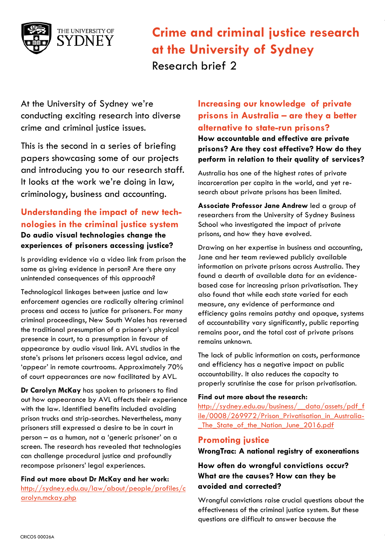

At the University of Sydney we're conducting exciting research into diverse crime and criminal justice issues.

This is the second in a series of briefing papers showcasing some of our projects and introducing you to our research staff. It looks at the work we're doing in law, criminology, business and accounting.

## **Understanding the impact of new technologies in the criminal justice system Do audio visual technologies change the experiences of prisoners accessing justice?**

Is providing evidence via a video link from prison the same as giving evidence in person? Are there any unintended consequences of this approach?

Technological linkages between justice and law enforcement agencies are radically altering criminal process and access to justice for prisoners. For many criminal proceedings, New South Wales has reversed the traditional presumption of a prisoner's physical presence in court, to a presumption in favour of appearance by audio visual link. AVL studios in the state's prisons let prisoners access legal advice, and 'appear' in remote courtrooms. Approximately 70% of court appearances are now facilitated by AVL.

**Dr Carolyn McKay** has spoken to prisoners to find out how appearance by AVL affects their experience with the law. Identified benefits included avoiding prison trucks and strip-searches. Nevertheless, many prisoners still expressed a desire to be in court in person – as a human, not a 'generic prisoner' on a screen. The research has revealed that technologies can challenge procedural justice and profoundly recompose prisoners' legal experiences.

**Find out more about Dr McKay and her work:** [http://sydney.edu.au/law/about/people/profiles/c](http://sydney.edu.au/law/about/people/profiles/carolyn.mckay.php) [arolyn.mckay.php](http://sydney.edu.au/law/about/people/profiles/carolyn.mckay.php)

# **Increasing our knowledge of private prisons in Australia – are they a better alternative to state-run prisons?**

**How accountable and effective are private prisons? Are they cost effective? How do they perform in relation to their quality of services?**

Australia has one of the highest rates of private incarceration per capita in the world, and yet research about private prisons has been limited.

**Associate Professor Jane Andrew** led a group of researchers from the University of Sydney Business School who investigated the impact of private prisons, and how they have evolved.

Drawing on her expertise in business and accounting, Jane and her team reviewed publicly available information on private prisons across Australia. They found a dearth of available data for an evidencebased case for increasing prison privatisation. They also found that while each state varied for each measure, any evidence of performance and efficiency gains remains patchy and opaque, systems of accountability vary significantly, public reporting remains poor, and the total cost of private prisons remains unknown.

The lack of public information on costs, performance and efficiency has a negative impact on public accountability. It also reduces the capacity to properly scrutinise the case for prison privatisation.

#### **Find out more about the research:**

[http://sydney.edu.au/business/\\_\\_data/assets/pdf\\_f](http://sydney.edu.au/business/__data/assets/pdf_file/0008/269972/Prison_Privatisation_in_Australia-_The_State_of_the_Nation_June_2016.pdf) [ile/0008/269972/Prison\\_Privatisation\\_in\\_Australia-](http://sydney.edu.au/business/__data/assets/pdf_file/0008/269972/Prison_Privatisation_in_Australia-_The_State_of_the_Nation_June_2016.pdf) The State of the Nation June 2016.pdf

### **Promoting justice**

**WrongTrac: A national registry of exonerations**

### **How often do wrongful convictions occur? What are the causes? How can they be avoided and corrected?**

Wrongful convictions raise crucial questions about the effectiveness of the criminal justice system. But these questions are difficult to answer because the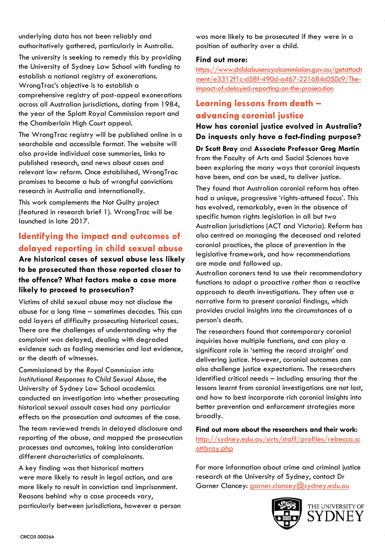underlying data has not been reliably and authoritatively gathered, particularly in Australia.

The university is seeking to remedy this by providing the University of Sydney Law School with funding to establish a national registry of exonerations. WrongTrac's objective is to establish a comprehensive registry of post-appeal exonerations across all Australian jurisdictions, dating from 1984, the year of the Splatt Royal Commission report and the Chamberlain High Court appeal.

The WrongTrac registry will be published online in a searchable and accessible format. The website will also provide individual case summaries, links to published research, and news about cases and relevant law reform. Once established, WrongTrac promises to become a hub of wrongful convictions research in Australia and internationally.

This work complements the Not Guilty project (featured in research brief 1). WrongTrac will be launched in late 2017.

# **Identifying the impact and outcomes of delayed reporting in child sexual abuse**

### **Are historical cases of sexual abuse less likely to be prosecuted than those reported closer to the offence? What factors make a case more likely to proceed to prosecution?**

Victims of child sexual abuse may not disclose the abuse for a long time – sometimes decades. This can add layers of difficulty prosecuting historical cases. There are the challenges of understanding why the complaint was delayed, dealing with degraded evidence such as fading memories and lost evidence, or the death of witnesses.

Commissioned by the *Royal Commission into Institutional Responses to Child Sexual Abuse*, the University of Sydney Law School academics conducted an investigation into whether prosecuting historical sexual assault cases had any particular effects on the prosecution and outcomes of the case.

The team reviewed trends in delayed disclosure and reporting of the abuse, and mapped the prosecution processes and outcomes, taking into consideration different characteristics of complainants.

A key finding was that historical matters were more likely to result in legal action, and are more likely to result in conviction and imprisonment. Reasons behind why a case proceeds vary, particularly between jurisdictions, however a person was more likely to be prosecuted if they were in a position of authority over a child.

#### **Find out more:**

[https://www.childabuseroyalcommission.gov.au/getattach](https://www.childabuseroyalcommission.gov.au/getattachment/e3312f1c-d58f-490d-a467-221684c050c9/The-impact-of-delayed-reporting-on-the-prosecution) [ment/e3312f1c-d58f-490d-a467-221684c050c9/The](https://www.childabuseroyalcommission.gov.au/getattachment/e3312f1c-d58f-490d-a467-221684c050c9/The-impact-of-delayed-reporting-on-the-prosecution)[impact-of-delayed-reporting-on-the-prosecution](https://www.childabuseroyalcommission.gov.au/getattachment/e3312f1c-d58f-490d-a467-221684c050c9/The-impact-of-delayed-reporting-on-the-prosecution)

## **Learning lessons from death – advancing coronial justice**

**How has coronial justice evolved in Australia? Do inquests only have a fact-finding purpose?**

**Dr Scott Bray** and **Associate Professor Greg Martin** from the Faculty of Arts and Social Sciences have been exploring the many ways that coronial inquests have been, and can be used, to deliver justice.

They found that Australian coronial reform has often had a unique, progressive 'rights-attuned focus'. This has evolved, remarkably, even in the absence of specific human rights legislation in all but two Australian jurisdictions (ACT and Victoria). Reform has also centred on managing the deceased and related coronial practices, the place of prevention in the legislative framework, and how recommendations are made and followed up.

Australian coroners tend to use their recommendatory functions to adopt a proactive rather than a reactive approach to death investigations. They often use a narrative form to present coronial findings, which provides crucial insights into the circumstances of a person's death.

The researchers found that contemporary coronial inquiries have multiple functions, and can play a significant role in 'setting the record straight' and delivering justice. However, coronial outcomes can also challenge justice expectations. The researchers identified critical needs – including ensuring that the lessons learnt from coronial investigations are not lost, and how to best incorporate rich coronial insights into better prevention and enforcement strategies more broadly.

**Find out more about the researchers and their work:** [http://sydney.edu.au/arts/staff/profiles/rebecca.sc](http://sydney.edu.au/arts/staff/profiles/rebecca.scottbray.php) [ottbray.php](http://sydney.edu.au/arts/staff/profiles/rebecca.scottbray.php)

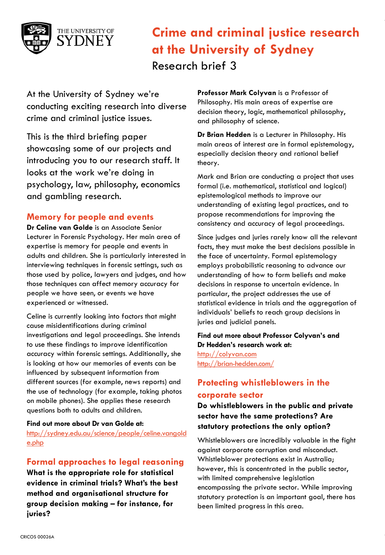

At the University of Sydney we're conducting exciting research into diverse crime and criminal justice issues.

This is the third briefing paper showcasing some of our projects and introducing you to our research staff. It looks at the work we're doing in psychology, law, philosophy, economics and gambling research.

### **Memory for people and events**

**Dr Celine van Golde** is an Associate Senior Lecturer in Forensic Psychology. Her main area of expertise is memory for people and events in adults and children. She is particularly interested in interviewing techniques in forensic settings, such as those used by police, lawyers and judges, and how those techniques can affect memory accuracy for people we have seen, or events we have experienced or witnessed.

Celine is currently looking into factors that might cause misidentifications during criminal investigations and legal proceedings. She intends to use these findings to improve identification accuracy within forensic settings. Additionally, she is looking at how our memories of events can be influenced by subsequent information from different sources (for example, news reports) and the use of technology (for example, taking photos on mobile phones). She applies these research questions both to adults and children.

#### **Find out more about Dr van Golde at:**

[http://sydney.edu.au/science/people/celine.vangold](http://sydney.edu.au/science/people/celine.vangolde.php) [e.php](http://sydney.edu.au/science/people/celine.vangolde.php)

### **Formal approaches to legal reasoning**

**What is the appropriate role for statistical evidence in criminal trials? What's the best method and organisational structure for group decision making – for instance, for juries?**

**Professor Mark Colyvan** is a Professor of Philosophy. His main areas of expertise are decision theory, logic, mathematical philosophy, and philosophy of science.

**Dr Brian Hedden** is a Lecturer in Philosophy. His main areas of interest are in formal epistemology, especially decision theory and rational belief theory.

Mark and Brian are conducting a project that uses formal (i.e. mathematical, statistical and logical) epistemological methods to improve our understanding of existing legal practices, and to propose recommendations for improving the consistency and accuracy of legal proceedings.

Since judges and juries rarely know all the relevant facts, they must make the best decisions possible in the face of uncertainty. Formal epistemology employs probabilistic reasoning to advance our understanding of how to form beliefs and make decisions in response to uncertain evidence. In particular, the project addresses the use of statistical evidence in trials and the aggregation of individuals' beliefs to reach group decisions in juries and judicial panels.

**Find out more about Professor Colyvan's and Dr Hedden's research work at:** [http://colyvan.com](http://colyvan.com/) [http://brian-hedden.com/](http://sydney.edu.au/arts/philosophy/staff/profiles/brian.hedden.php)

## **Protecting whistleblowers in the corporate sector**

**Do whistleblowers in the public and private sector have the same protections? Are statutory protections the only option?**

Whistleblowers are incredibly valuable in the fight against corporate corruption and misconduct. Whistleblower protections exist in Australia; however, this is concentrated in the public sector, with limited comprehensive legislation encompassing the private sector. While improving statutory protection is an important goal, there has been limited progress in this area.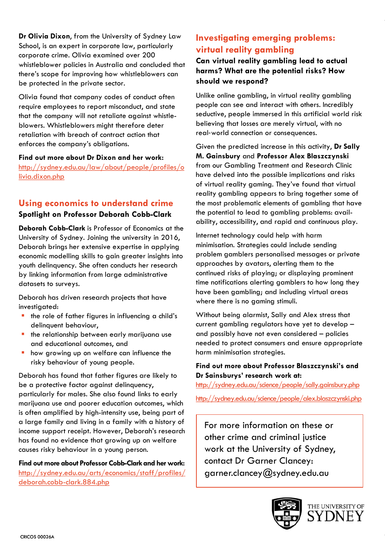**Dr Olivia Dixon**, from the University of Sydney Law School, is an expert in corporate law, particularly corporate crime. Olivia examined over 200 whistleblower policies in Australia and concluded that there's scope for improving how whistleblowers can be protected in the private sector.

Olivia found that company codes of conduct often require employees to report misconduct, and state that the company will not retaliate against whistleblowers. Whistleblowers might therefore deter retaliation with breach of contract action that enforces the company's obligations.

**Find out more about Dr Dixon and her work:** [http://sydney.edu.au/law/about/people/profiles/o](http://sydney.edu.au/law/about/people/profiles/olivia.dixon.php) [livia.dixon.php](http://sydney.edu.au/law/about/people/profiles/olivia.dixon.php)

# **Using economics to understand crime**

**Spotlight on Professor Deborah Cobb-Clark Deborah Cobb-Clark** is Professor of Economics at the

University of Sydney. Joining the university in 2016, Deborah brings her extensive expertise in applying economic modelling skills to gain greater insights into youth delinquency. She often conducts her research by linking information from large administrative datasets to surveys.

Deborah has driven research projects that have investigated:

- $\blacksquare$  the role of father figures in influencing a child's delinquent behaviour,
- **the relationship between early marijuana use** and educational outcomes, and
- how growing up on welfare can influence the risky behaviour of young people.

Deborah has found that father figures are likely to be a protective factor against delinquency, particularly for males. She also found links to early marijuana use and poorer education outcomes, which is often amplified by high-intensity use, being part of a large family and living in a family with a history of income support receipt. However, Deborah's research has found no evidence that growing up on welfare causes risky behaviour in a young person.

**Find out more about Professor Cobb-Clark and her work:** [http://sydney.edu.au/arts/economics/staff/profiles/](http://sydney.edu.au/arts/economics/staff/profiles/deborah.cobb-clark.884.php) [deborah.cobb-clark.884.php](http://sydney.edu.au/arts/economics/staff/profiles/deborah.cobb-clark.884.php)

# **Investigating emerging problems: virtual reality gambling**

**Can virtual reality gambling lead to actual harms? What are the potential risks? How should we respond?**

Unlike online gambling, in virtual reality gambling people can see and interact with others. Incredibly seductive, people immersed in this artificial world risk believing that losses are merely virtual, with no real‐world connection or consequences.

Given the predicted increase in this activity, **Dr Sally M. Gainsbury** and **Professor Alex Blaszczynski** from our Gambling Treatment and Research Clinic have delved into the possible implications and risks of virtual reality gaming. They've found that virtual reality gambling appears to bring together some of the most problematic elements of gambling that have the potential to lead to gambling problems: availability, accessibility, and rapid and continuous play.

Internet technology could help with harm minimisation. Strategies could include sending problem gamblers personalised messages or private approaches by avatars, alerting them to the continued risks of playing; or displaying prominent time notifications alerting gamblers to how long they have been gambling; and including virtual areas where there is no gaming stimuli.

Without being alarmist, Sally and Alex stress that current gambling regulators have yet to develop – and possibly have not even considered – policies needed to protect consumers and ensure appropriate harm minimisation strategies.

### **Find out more about Professor Blaszczynski's and Dr Sainsburys' research work at:**

<http://sydney.edu.au/science/people/sally.gainsbury.php> <http://sydney.edu.au/science/people/alex.blaszczynski.php>

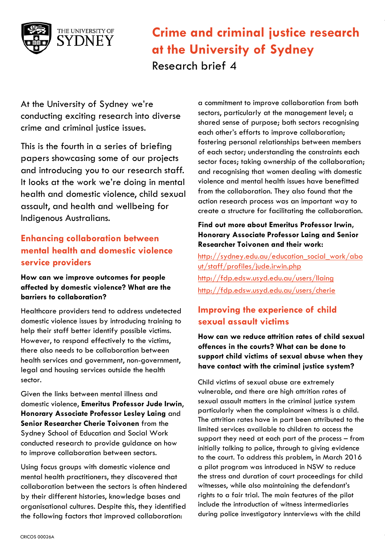

At the University of Sydney we're conducting exciting research into diverse crime and criminal justice issues.

This is the fourth in a series of briefing papers showcasing some of our projects and introducing you to our research staff. It looks at the work we're doing in mental health and domestic violence, child sexual assault, and health and wellbeing for Indigenous Australians.

# **Enhancing collaboration between mental health and domestic violence service providers**

### **How can we improve outcomes for people affected by domestic violence? What are the barriers to collaboration?**

Healthcare providers tend to address undetected domestic violence issues by introducing training to help their staff better identify possible victims. However, to respond effectively to the victims, there also needs to be collaboration between health services and government, non-government, legal and housing services outside the health sector.

Given the links between mental illness and domestic violence, **Emeritus Professor Jude Irwin**, **Honorary Associate Professor Lesley Laing** and **Senior Researcher Cherie Toivonen** from the Sydney School of Education and Social Work conducted research to provide guidance on how to improve collaboration between sectors.

Using focus groups with domestic violence and mental health practitioners, they discovered that collaboration between the sectors is often hindered by their different histories, knowledge bases and organisational cultures. Despite this, they identified the following factors that improved collaboration:

a commitment to improve collaboration from both sectors, particularly at the management level; a shared sense of purpose; both sectors recognising each other's efforts to improve collaboration; fostering personal relationships between members of each sector; understanding the constraints each sector faces; taking ownership of the collaboration; and recognising that women dealing with domestic violence and mental health issues have benefitted from the collaboration. They also found that the action research process was an important way to create a structure for facilitating the collaboration.

### **Find out more about Emeritus Professor Irwin, Honorary Associate Professor Laing and Senior Researcher Toivonen and their work:**

[http://sydney.edu.au/education\\_social\\_work/abo](http://sydney.edu.au/education_social_work/about/staff/profiles/jude.irwin.php) [ut/staff/profiles/jude.irwin.php](http://sydney.edu.au/education_social_work/about/staff/profiles/jude.irwin.php) <http://fdp.edsw.usyd.edu.au/users/llaing> <http://fdp.edsw.usyd.edu.au/users/cherie>

# **Improving the experience of child sexual assault victims**

**How can we reduce attrition rates of child sexual offences in the courts? What can be done to support child victims of sexual abuse when they have contact with the criminal justice system?**

Child victims of sexual abuse are extremely vulnerable, and there are high attrition rates of sexual assault matters in the criminal justice system particularly when the complainant witness is a child. The attrition rates have in part been attributed to the limited services available to children to access the support they need at each part of the process – from initially talking to police, through to giving evidence to the court. To address this problem, in March 2016 a pilot program was introduced in NSW to reduce the stress and duration of court proceedings for child witnesses, while also maintaining the defendant's rights to a fair trial. The main features of the pilot include the introduction of witness intermediaries during police investigatory innterviews with the child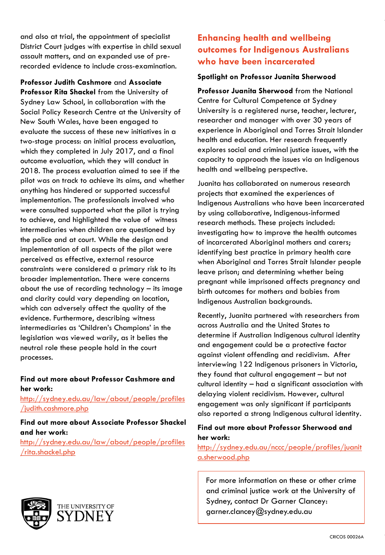and also at trial, the appointment of specialist District Court judges with expertise in child sexual assault matters, and an expanded use of prerecorded evidence to include cross-examination.

**Professor Judith Cashmore** and **Associate Professor Rita Shackel** from the University of Sydney Law School, in collaboration with the Social Policy Research Centre at the University of New South Wales, have been engaged to evaluate the success of these new initiatives in a two-stage process: an initial process evaluation, which they completed in July 2017, and a final outcome evaluation, which they will conduct in 2018. The process evaluation aimed to see if the pilot was on track to achieve its aims, and whether anything has hindered or supported successful implementation. The professionals involved who were consulted supported what the pilot is trying to achieve, and highlighted the value of witness intermediaries when children are questioned by the police and at court. While the design and implementation of all aspects of the pilot were perceived as effective, external resource constraints were considered a primary risk to its broader implementation. There were concerns about the use of recording technology – its image and clarity could vary depending on location, which can adversely affect the quality of the evidence. Furthermore, describing witness intermediaries as 'Children's Champions' in the legislation was viewed warily, as it belies the neutral role these people hold in the court processes.

### **Find out more about Professor Cashmore and her work:**

[http://sydney.edu.au/law/about/people/profiles](http://sydney.edu.au/law/about/people/profiles/judith.cashmore.php) [/judith.cashmore.php](http://sydney.edu.au/law/about/people/profiles/judith.cashmore.php)

### **Find out more about Associate Professor Shackel and her work:**

[http://sydney.edu.au/law/about/people/profiles](http://sydney.edu.au/law/about/people/profiles/rita.shackel.php) [/rita.shackel.php](http://sydney.edu.au/law/about/people/profiles/rita.shackel.php)

# **Enhancing health and wellbeing outcomes for Indigenous Australians who have been incarcerated**

### **Spotlight on Professor Juanita Sherwood**

**Professor Juanita Sherwood** from the National Centre for Cultural Competence at Sydney University is a registered nurse, teacher, lecturer, researcher and manager with over 30 years of experience in Aboriginal and Torres Strait Islander health and education. Her research frequently explores social and criminal justice issues, with the capacity to approach the issues via an Indigenous health and wellbeing perspective.

Juanita has collaborated on numerous research projects that examined the experiences of Indigenous Australians who have been incarcerated by using collaborative, Indigenous-informed research methods. These projects included: investigating how to improve the health outcomes of incarcerated Aboriginal mothers and carers; identifying best practice in primary health care when Aboriginal and Torres Strait Islander people leave prison; and determining whether being pregnant while imprisoned affects pregnancy and birth outcomes for mothers and babies from Indigenous Australian backgrounds.

Recently, Juanita partnered with researchers from across Australia and the United States to determine if Australian Indigenous cultural identity and engagement could be a protective factor against violent offending and recidivism. After interviewing 122 Indigenous prisoners in Victoria, they found that cultural engagement – but not cultural identity – had a significant association with delaying violent recidivism. However, cultural engagement was only significant if participants also reported a strong Indigenous cultural identity.

### **Find out more about Professor Sherwood and her work:**

[http://sydney.edu.au/nccc/people/profiles/juanit](http://sydney.edu.au/nccc/people/profiles/juanita.sherwood.php) [a.sherwood.php](http://sydney.edu.au/nccc/people/profiles/juanita.sherwood.php)

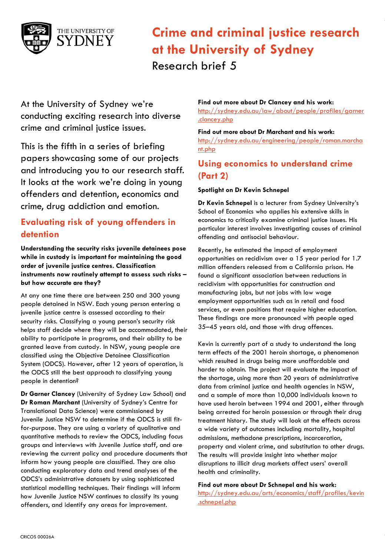

At the University of Sydney we're conducting exciting research into diverse crime and criminal justice issues.

This is the fifth in a series of briefing papers showcasing some of our projects and introducing you to our research staff. It looks at the work we're doing in young offenders and detention, economics and crime, drug addiction and emotion.

# **Evaluating risk of young offenders in detention**

**Understanding the security risks juvenile detainees pose while in custody is important for maintaining the good order of juvenile justice centres. Classification instruments now routinely attempt to assess such risks – but how accurate are they?**

At any one time there are between 250 and 300 young people detained in NSW. Each young person entering a juvenile justice centre is assessed according to their security risks. Classifying a young person's security risk helps staff decide where they will be accommodated, their ability to participate in programs, and their ability to be granted leave from custody. In NSW, young people are classified using the Objective Detainee Classification System (ODCS). However, after 12 years of operation, is the ODCS still the best approach to classifying young people in detention?

**Dr Garner Clancey** (University of Sydney Law School) and **Dr Roman Marchant** (University of Sydney's Centre for Translational Data Science) were commissioned by Juvenile Justice NSW to determine if the ODCS is still fitfor-purpose. They are using a variety of qualitative and quantitative methods to review the ODCS, including focus groups and interviews with Juvenile Justice staff, and are reviewing the current policy and procedure documents that inform how young people are classified. They are also conducting exploratory data and trend analyses of the ODCS's administrative datasets by using sophisticated statistical modelling techniques. Their findings will inform how Juvenile Justice NSW continues to classify its young offenders, and identify any areas for improvement.

#### **Find out more about Dr Clancey and his work:**

[http://sydney.edu.au/law/about/people/profiles/garner](http://sydney.edu.au/law/about/people/profiles/garner.clancey.php) [.clancey.php](http://sydney.edu.au/law/about/people/profiles/garner.clancey.php)

#### **Find out more about Dr Marchant and his work:**

[http://sydney.edu.au/engineering/people/roman.marcha](http://sydney.edu.au/engineering/people/roman.marchant.php) [nt.php](http://sydney.edu.au/engineering/people/roman.marchant.php)

## **Using economics to understand crime (Part 2)**

#### **Spotlight on Dr Kevin Schnepel**

**Dr Kevin Schnepel** is a lecturer from Sydney University's School of Economics who applies his extensive skills in economics to critically examine criminal justice issues. His particular interest involves investigating causes of criminal offending and antisocial behaviour.

Recently, he estimated the impact of employment opportunities on recidivism over a 15 year period for 1.7 million offenders released from a California prison. He found a significant association between reductions in recidivism with opportunities for construction and manufacturing jobs, but not jobs with low wage employment opportunities such as in retail and food services, or even positions that require higher education. These findings are more pronounced with people aged 35–45 years old, and those with drug offences.

Kevin is currently part of a study to understand the long term effects of the 2001 heroin shortage, a phenomenon which resulted in drugs being more unaffordable and harder to obtain. The project will evaluate the impact of the shortage, using more than 20 years of administrative data from criminal justice and health agencies in NSW, and a sample of more than 10,000 individuals known to have used heroin between 1994 and 2001, either through being arrested for heroin possession or through their drug treatment history. The study will look at the effects across a wide variety of outcomes including mortality, hospital admissions, methadone prescriptions, incarceration, property and violent crime, and substitution to other drugs. The results will provide insight into whether major disruptions to illicit drug markets affect users' overall health and criminality.

#### **Find out more about Dr Schnepel and his work:**

[http://sydney.edu.au/arts/economics/staff/profiles/kevin](http://sydney.edu.au/arts/economics/staff/profiles/kevin.schnepel.php) [.schnepel.php](http://sydney.edu.au/arts/economics/staff/profiles/kevin.schnepel.php)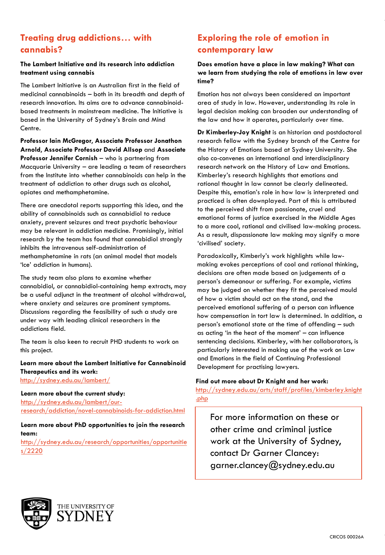# **Treating drug addictions… with cannabis?**

#### **The Lambert Initiative and its research into addiction treatment using cannabis**

The Lambert Initiative is an Australian first in the field of medicinal cannabinoids – both in its breadth and depth of research innovation. Its aims are to advance cannabinoidbased treatments in mainstream medicine. The Initiative is based in the University of Sydney's Brain and Mind Centre.

**Professor Iain McGregor**, **Associate Professor Jonathon Arnold**, **Associate Professor David Allsop** and **Associate Professor Jennifer Cornish** – who is partnering from Macquarie University – are leading a team of researchers from the Institute into whether cannabinoids can help in the treatment of addiction to other drugs such as alcohol, opiates and methamphetamine.

There are anecdotal reports supporting this idea, and the ability of cannabinoids such as cannabidiol to reduce anxiety, prevent seizures and treat psychotic behaviour may be relevant in addiction medicine. Promisingly, initial research by the team has found that cannabidiol strongly inhibits the intravenous self-administration of methamphetamine in rats (an animal model that models 'Ice' addiction in humans).

The study team also plans to examine whether cannabidiol, or cannabidiol-containing hemp extracts, may be a useful adjunct in the treatment of alcohol withdrawal, where anxiety and seizures are prominent symptoms. Discussions regarding the feasibility of such a study are under way with leading clinical researchers in the addictions field.

The team is also keen to recruit PHD students to work on this project.

**Learn more about the Lambert Initiative for Cannabinoid Therapeutics and its work:**

<http://sydney.edu.au/lambert/>

**Learn more about the current study:**

[http://sydney.edu.au/lambert/our](http://sydney.edu.au/lambert/our-research/addiction/novel-cannabinoids-for-addiction.html)[research/addiction/novel-cannabinoids-for-addiction.html](http://sydney.edu.au/lambert/our-research/addiction/novel-cannabinoids-for-addiction.html)

**Learn more about PhD opportunities to join the research team:**

[http://sydney.edu.au/research/opportunities/opportunitie](http://sydney.edu.au/research/opportunities/opportunities/2220) [s/2220](http://sydney.edu.au/research/opportunities/opportunities/2220)

# **Exploring the role of emotion in contemporary law**

**Does emotion have a place in law making? What can we learn from studying the role of emotions in law over time?**

Emotion has not always been considered an important area of study in law. However, understanding its role in legal decision making can broaden our understanding of the law and how it operates, particularly over time.

**Dr Kimberley-Joy Knight** is an historian and postdoctoral research fellow with the Sydney branch of the Centre for the History of Emotions based at Sydney University. She also co-convenes an international and interdisciplinary research network on the History of Law and Emotions. Kimberley's research highlights that emotions and rational thought in law cannot be clearly delineated. Despite this, emotion's role in how law is interpreted and practiced is often downplayed. Part of this is attributed to the perceived shift from passionate, cruel and emotional forms of justice exercised in the Middle Ages to a more cool, rational and civilised law-making process. As a result, dispassionate law making may signify a more 'civilised' society.

Paradoxically, Kimberly's work highlights while lawmaking evokes perceptions of cool and rational thinking, decisions are often made based on judgements of a person's demeanour or suffering. For example, victims may be judged on whether they fit the perceived mould of how a victim should act on the stand, and the perceived emotional suffering of a person can influence how compensation in tort law is determined. In addition, a person's emotional state at the time of offending – such as acting 'in the heat of the moment' – can influence sentencing decisions. Kimberley, with her collaborators, is particularly interested in making use of the work on Law [and Emotions in the field of Continuing Professional](http://sydney.edu.au/arts/staff/profiles/kimberley.knight.php)  [Deve](http://sydney.edu.au/arts/staff/profiles/kimberley.knight.php)lopment for practising lawyers.

#### **Find out more about Dr Knight and her work:**

http://sydney.edu.au/arts/staff/profiles/kimberley.knight .php

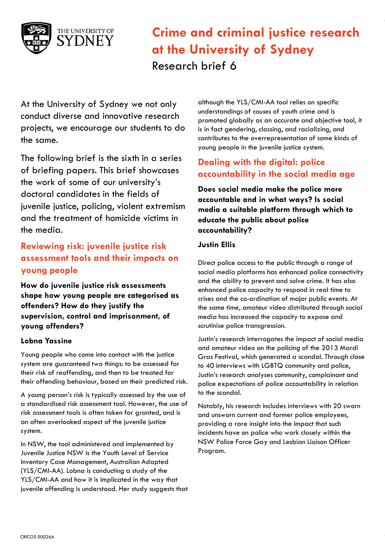

At the University of Sydney we not only conduct diverse and innovative research projects, we encourage our students to do the same.

The following brief is the sixth in a series of briefing papers. This brief showcases the work of some of our university's doctoral candidates in the fields of juvenile justice, policing, violent extremism and the treatment of homicide victims in the media.

# **Reviewing risk: juvenile justice risk assessment tools and their impacts on young people**

**How do juvenile justice risk assessments shape how young people are categorised as offenders? How do they justify the supervision, control and imprisonment, of young offenders?**

### **Lobna Yassine**

Young people who come into contact with the justice system are guaranteed two things: to be assessed for their risk of reoffending, and then to be treated for their offending behaviour, based on their predicted risk.

A young person's risk is typically assessed by the use of a standardised risk assessment tool. However, the use of risk assessment tools is often taken for granted, and is an often overlooked aspect of the juvenile justice system.

In NSW, the tool administered and implemented by Juvenile Justice NSW is the Youth Level of Service Inventory Case Management, Australian Adapted (YLS/CMI-AA). Lobna is conducting a study of the YLS/CMI-AA and how it is implicated in the way that juvenile offending is understood. Her study suggests that

although the YLS/CMI-AA tool relies on specific understandings of *causes* of youth crime and is promoted globally as an accurate and objective tool, it is in fact gendering, classing, and racializing, and contributes to the overrepresentation of some kinds of young people in the juvenile justice system.

# **Dealing with the digital: police accountability in the social media age**

**Does social media make the police more accountable and in what ways? Is social media a suitable platform through which to educate the public about police accountability?**

### **Justin Ellis**

Direct police access to the public through a range of social media platforms has enhanced police connectivity and the ability to prevent and solve crime. It has also enhanced police capacity to respond in real time to crises and the co-ordination of major public events. At the same time, amateur video distributed through social media has increased the capacity to expose and scrutinise police transgression.

Justin's research interrogates the impact of social media and amateur video on the policing of the 2013 Mardi Gras Festival, which generated a scandal. Through close to 40 interviews with LGBTQ community and police, Justin's research analyses community, complainant and police expectations of police accountability in relation to the scandal.

Notably, his research includes interviews with 20 sworn and unsworn current and former police employees, providing a rare insight into the impact that such incidents have on police who work closely within the NSW Police Force Gay and Lesbian Liaison Officer Program.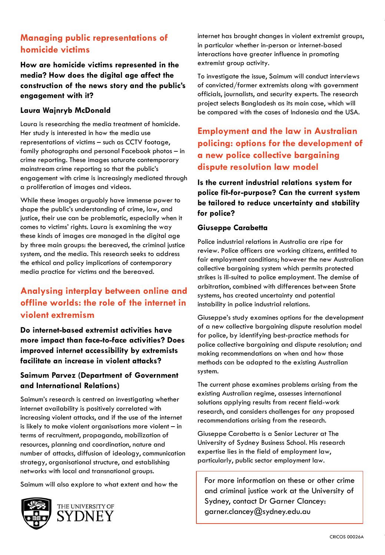# **Managing public representations of homicide victims**

**How are homicide victims represented in the media? How does the digital age affect the construction of the news story and the public's engagement with it?**

### **Laura Wajnryb McDonald**

Laura is researching the media treatment of homicide. Her study is interested in how the media use representations of victims – such as CCTV footage, family photographs and personal Facebook photos – in crime reporting. These images saturate contemporary mainstream crime reporting so that the public's engagement with crime is increasingly mediated through a proliferation of images and videos.

While these images arguably have immense power to shape the public's understanding of crime, law, and justice, their use can be problematic, especially when it comes to victims' rights. Laura is examining the way these kinds of images are managed in the digital age by three main groups: the bereaved, the criminal justice system, and the media. This research seeks to address the ethical and policy implications of contemporary media practice for victims and the bereaved.

# **Analysing interplay between online and offline worlds: the role of the internet in violent extremism**

**Do internet-based extremist activities have more impact than face-to-face activities? Does improved internet accessibility by extremists facilitate an increase in violent attacks?**

### **Saimum Parvez (Department of Government and International Relations)**

Saimum's research is centred on investigating whether internet availability is positively correlated with increasing violent attacks, and if the use of the internet is likely to make violent organisations more violent – in terms of recruitment, propaganda, mobilization of resources, planning and coordination, nature and number of attacks, diffusion of ideology, communication strategy, organisational structure, and establishing networks with local and transnational groups.

Saimum will also explore to what extent and how the



internet has brought changes in violent extremist groups, in particular whether in-person or internet-based interactions have greater influence in promoting extremist group activity.

To investigate the issue, Saimum will conduct interviews of convicted/former extremists along with government officials, journalists, and security experts. The research project selects Bangladesh as its main case, which will be compared with the cases of Indonesia and the USA.

# **Employment and the law in Australian policing: options for the development of a new police collective bargaining dispute resolution law model**

**Is the current industrial relations system for police fit-for-purpose? Can the current system be tailored to reduce uncertainty and stability for police?**

### **Giuseppe Carabetta**

Police industrial relations in Australia are ripe for review. Police officers are working citizens, entitled to fair employment conditions; however the new Australian collective bargaining system which permits protected strikes is ill-suited to police employment. The demise of arbitration, combined with differences between State systems, has created uncertainty and potential instability in police industrial relations.

Giuseppe's study examines options for the development of a new collective bargaining dispute resolution model for police, by identifying best-practice methods for police collective bargaining and dispute resolution; and making recommendations on when and how those methods can be adapted to the existing Australian system.

The current phase examines problems arising from the existing Australian regime, assesses international solutions applying results from recent field-work research, and considers challenges for any proposed recommendations arising from the research.

Giuseppe Carabetta is a Senior Lecturer at The University of Sydney Business School. His research expertise lies in the field of employment law, particularly, public sector employment law.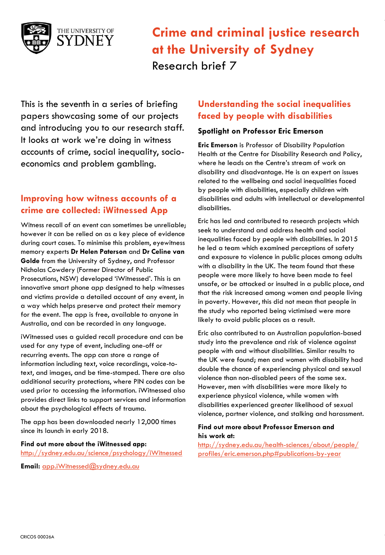

This is the seventh in a series of briefing papers showcasing some of our projects and introducing you to our research staff. It looks at work we're doing in witness accounts of crime, social inequality, socioeconomics and problem gambling.

## **Improving how witness accounts of a crime are collected: iWitnessed App**

Witness recall of an event can sometimes be unreliable; however it can be relied on as a key piece of evidence during court cases. To minimise this problem, eyewitness memory experts **Dr Helen Paterson** and **Dr Celine van Golde** from the University of Sydney, and Professor Nicholas Cowdery (Former Director of Public Prosecutions, NSW) developed 'iWitnessed'. This is an innovative smart phone app designed to help witnesses and victims provide a detailed account of any event, in a way which helps preserve and protect their memory for the event. The app is free, available to anyone in Australia, and can be recorded in any language.

iWitnessed uses a guided recall procedure and can be used for any type of event, including one-off or recurring events. The app can store a range of information including text, voice recordings, voice-totext, and images, and be time-stamped. There are also additional security protections, where PIN codes can be used prior to accessing the information. iWitnessed also provides direct links to support services and information about the psychological effects of trauma.

The app has been downloaded nearly 12,000 times since its launch in early 2018.

**Find out more about the iWitnessed app:** <http://sydney.edu.au/science/psychology/iWitnessed>

**Email:** [app.iWitnessed@sydney.edu.au](mailto:app.iWitnessed@sydney.edu.au)

### **Understanding the social inequalities faced by people with disabilities**

#### **Spotlight on Professor Eric Emerson**

**Eric Emerson** is Professor of Disability Population Health at the Centre for Disability Research and Policy, where he leads on the Centre's stream of work on disability and disadvantage. He is an expert on issues related to the wellbeing and social inequalities faced by people with disabilities, especially children with disabilities and adults with intellectual or developmental disabilities.

Eric has led and contributed to research projects which seek to understand and address health and social inequalities faced by people with disabilities. In 2015 he led a team which examined perceptions of safety and exposure to violence in public places among adults with a disability in the UK. The team found that these people were more likely to have been made to feel unsafe, or be attacked or insulted in a public place, and that the risk increased among women and people living in poverty. However, this did not mean that people in the study who reported being victimised were more likely to avoid public places as a result.

Eric also contributed to an Australian population-based study into the prevalence and risk of violence against people with and without disabilities. Similar results to the UK were found; men and women with disability had double the chance of experiencing physical and sexual violence than non-disabled peers of the same sex. However, men with disabilities were more likely to experience physical violence, while women with disabilities experienced greater likelihood of sexual violence, partner violence, and stalking and harassment.

#### **Find out more about Professor Emerson and his work at:**

http://sydney.edu.au/health-sciences/about/people/ [profiles/eric.emerson.php#publications-by-year](http://sydney.edu.au/health-sciences/about/people/profiles/eric.emerson.php#publications-by-year)